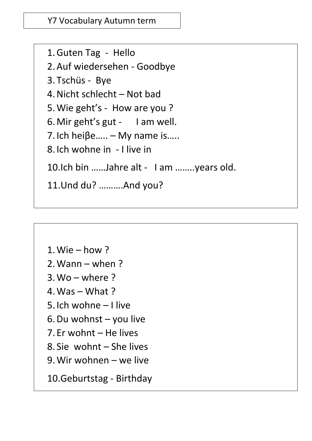Y7 Vocabulary Autumn term

[https://www.pearsonschoolsandfecolleges.co.uk/secondary/ModernLanguages/German/StimmtAQ](https://www.pearsonschoolsandfecolleges.co.uk/secondary/ModernLanguages/German/StimmtAQAGCSEGerman/ISBN/Workbook/StimmtAQAGCSEGermanGrammarWorkbook.aspx) 4. Nicht schlecht – Not bad 6. Mir geht's gut - I am well. 1.Guten Tag - Hello 2.Auf wiedersehen - Goodbye 3. Tschüs - Bye 5.Wie geht's - How are you ? 7. Ich hei $\beta$ e..... – My name is..... 8. Ich wohne in - I live in 10.Ich bin ……Jahre alt - I am ……..years old. 11.Und du? ……….And you?

1.Wie – how ? 2.Wann – when ?  $3. W<sub>0</sub> - where?$ 4. Was  $-$  What ? 5. Ich wohne – I live 6.Du wohnst – you live 7. Er wohnt – He lives 8. Sie wohnt – She lives 9.Wir wohnen – we live 10.Geburtstag - Birthday

 $\overline{a}$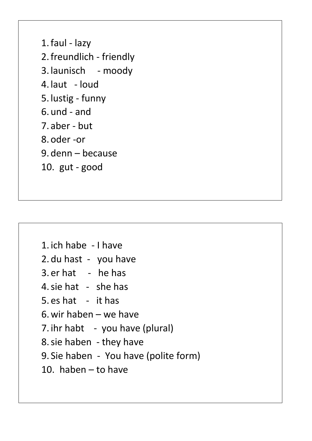1.faul - lazy 2.freundlich - friendly 3. launisch - moody 4. laut - loud 5. lustig - funny 6. und - and 7. aber - but 8. oder -or 9. denn – because 10. gut - good

 $\overline{a}$ 

1. ich habe - I have 2. du hast - you have 3. er hat - he has 4.sie hat - she has 5. es hat - it has 6.wir haben – we have 7. ihr habt - you have (plural) 8.sie haben - they have 9. Sie haben - You have (polite form) 10. haben – to have